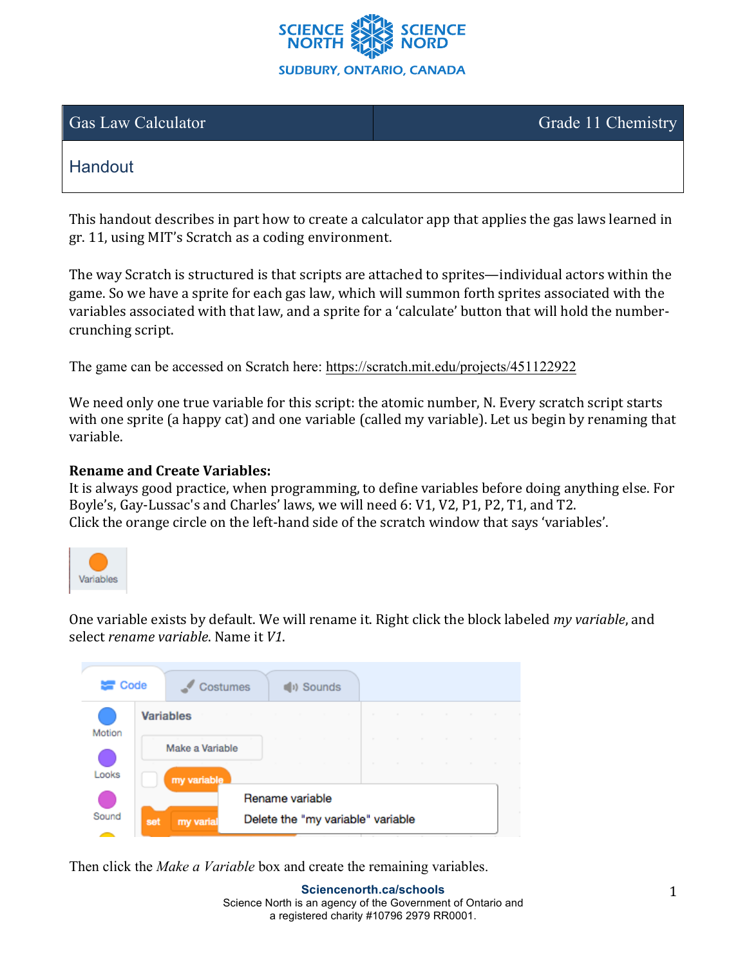

Gas Law Calculator Grade 11 Chemistry

# **Handout**

This handout describes in part how to create a calculator app that applies the gas laws learned in gr. 11, using MIT's Scratch as a coding environment.

The way Scratch is structured is that scripts are attached to sprites—individual actors within the game. So we have a sprite for each gas law, which will summon forth sprites associated with the variables associated with that law, and a sprite for a 'calculate' button that will hold the numbercrunching script.

The game can be accessed on Scratch here: https://scratch.mit.edu/projects/451122922

We need only one true variable for this script: the atomic number, N. Every scratch script starts with one sprite (a happy cat) and one variable (called my variable). Let us begin by renaming that variable.

#### **Rename and Create Variables:**

It is always good practice, when programming, to define variables before doing anything else. For Boyle's, Gay-Lussac's and Charles' laws, we will need 6: V1, V2, P1, P2, T1, and T2. Click the orange circle on the left-hand side of the scratch window that says 'variables'.



One variable exists by default. We will rename it. Right click the block labeled my variable, and select *rename* variable. Name it *V1*.



Then click the *Make a Variable* box and create the remaining variables.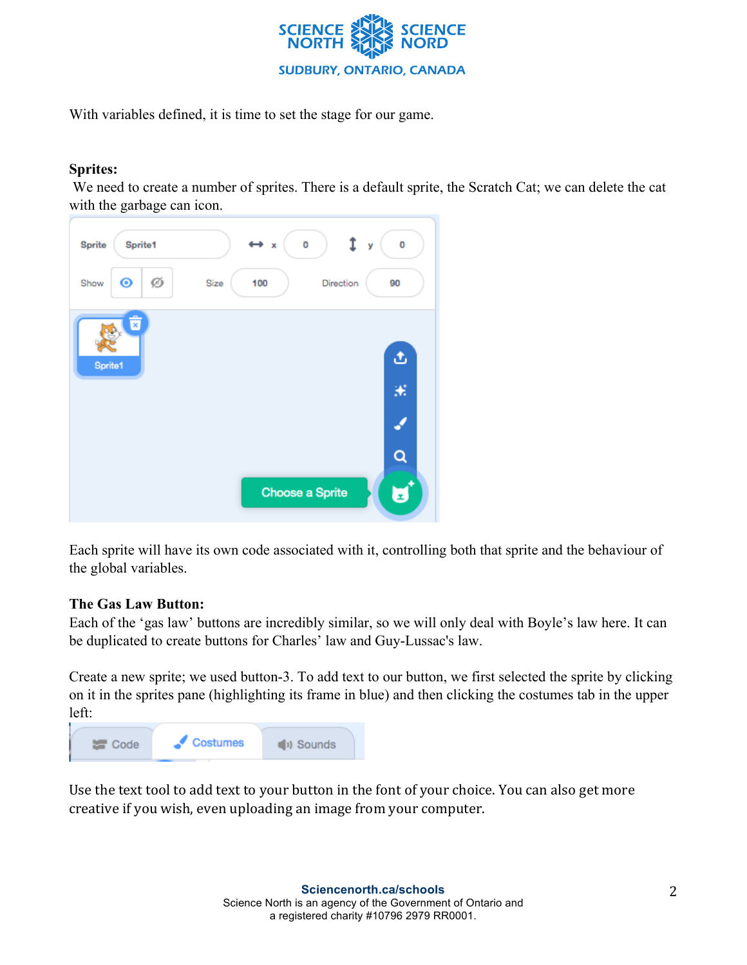

With variables defined, it is time to set the stage for our game.

## **Sprites:**

We need to create a number of sprites. There is a default sprite, the Scratch Cat; we can delete the cat with the garbage can icon.



Each sprite will have its own code associated with it, controlling both that sprite and the behaviour of the global variables.

#### **The Gas Law Button:**

Each of the 'gas law' buttons are incredibly similar, so we will only deal with Boyle's law here. It can be duplicated to create buttons for Charles' law and Guy-Lussac's law.

Create a new sprite; we used button-3. To add text to our button, we first selected the sprite by clicking on it in the sprites pane (highlighting its frame in blue) and then clicking the costumes tab in the upper left:



Use the text tool to add text to your button in the font of your choice. You can also get more creative if you wish, even uploading an image from your computer.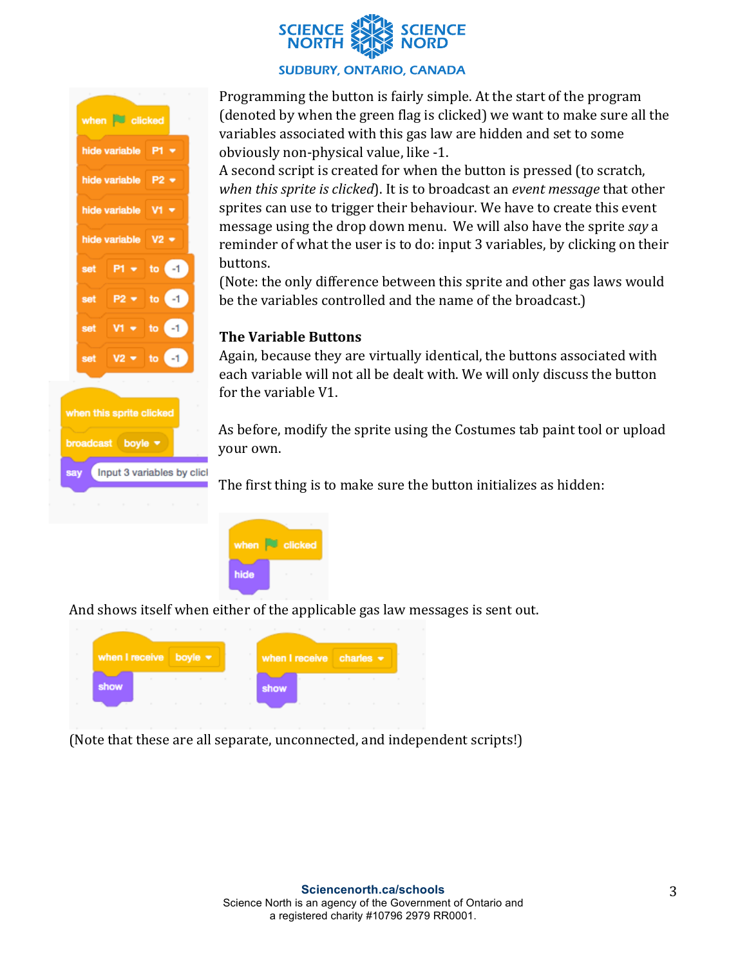

#### **SUDBURY, ONTARIO, CANADA**



Input 3 variables by clicl

sav

Programming the button is fairly simple. At the start of the program (denoted by when the green flag is clicked) we want to make sure all the variables associated with this gas law are hidden and set to some obviously non-physical value, like -1.

A second script is created for when the button is pressed (to scratch, *when this sprite is clicked*). It is to broadcast an *event message* that other sprites can use to trigger their behaviour. We have to create this event message using the drop down menu. We will also have the sprite *say* a reminder of what the user is to do: input 3 variables, by clicking on their buttons.

(Note: the only difference between this sprite and other gas laws would be the variables controlled and the name of the broadcast.)

#### **The Variable Buttons**

Again, because they are virtually identical, the buttons associated with each variable will not all be dealt with. We will only discuss the button for the variable V1.

As before, modify the sprite using the Costumes tab paint tool or upload your own.

The first thing is to make sure the button initializes as hidden:



And shows itself when either of the applicable gas law messages is sent out.

| when I receive boyle $\blacktriangleright$ |  | when I receive charles $\star$ |  |  |
|--------------------------------------------|--|--------------------------------|--|--|
| show                                       |  | show                           |  |  |
|                                            |  |                                |  |  |

(Note that these are all separate, unconnected, and independent scripts!)